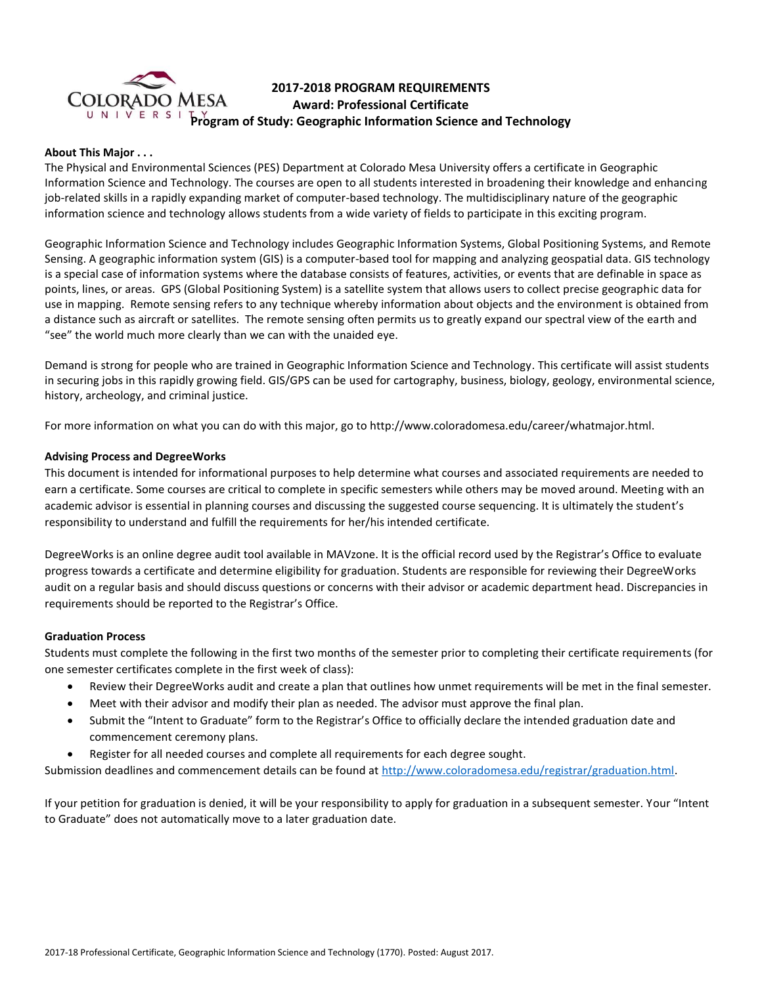

# **2017-2018 PROGRAM REQUIREMENTS Award: Professional Certificate Program of Study: Geographic Information Science and Technology**

## **About This Major . . .**

The Physical and Environmental Sciences (PES) Department at Colorado Mesa University offers a certificate in Geographic Information Science and Technology. The courses are open to all students interested in broadening their knowledge and enhancing job-related skills in a rapidly expanding market of computer-based technology. The multidisciplinary nature of the geographic information science and technology allows students from a wide variety of fields to participate in this exciting program.

Geographic Information Science and Technology includes Geographic Information Systems, Global Positioning Systems, and Remote Sensing. A geographic information system (GIS) is a computer-based tool for mapping and analyzing geospatial data. GIS technology is a special case of information systems where the database consists of features, activities, or events that are definable in space as points, lines, or areas. GPS (Global Positioning System) is a satellite system that allows users to collect precise geographic data for use in mapping. Remote sensing refers to any technique whereby information about objects and the environment is obtained from a distance such as aircraft or satellites. The remote sensing often permits us to greatly expand our spectral view of the earth and "see" the world much more clearly than we can with the unaided eye.

Demand is strong for people who are trained in Geographic Information Science and Technology. This certificate will assist students in securing jobs in this rapidly growing field. GIS/GPS can be used for cartography, business, biology, geology, environmental science, history, archeology, and criminal justice.

For more information on what you can do with this major, go to http://www.coloradomesa.edu/career/whatmajor.html.

### **Advising Process and DegreeWorks**

This document is intended for informational purposes to help determine what courses and associated requirements are needed to earn a certificate. Some courses are critical to complete in specific semesters while others may be moved around. Meeting with an academic advisor is essential in planning courses and discussing the suggested course sequencing. It is ultimately the student's responsibility to understand and fulfill the requirements for her/his intended certificate.

DegreeWorks is an online degree audit tool available in MAVzone. It is the official record used by the Registrar's Office to evaluate progress towards a certificate and determine eligibility for graduation. Students are responsible for reviewing their DegreeWorks audit on a regular basis and should discuss questions or concerns with their advisor or academic department head. Discrepancies in requirements should be reported to the Registrar's Office.

#### **Graduation Process**

Students must complete the following in the first two months of the semester prior to completing their certificate requirements (for one semester certificates complete in the first week of class):

- Review their DegreeWorks audit and create a plan that outlines how unmet requirements will be met in the final semester.
- Meet with their advisor and modify their plan as needed. The advisor must approve the final plan.
- Submit the "Intent to Graduate" form to the Registrar's Office to officially declare the intended graduation date and commencement ceremony plans.
- Register for all needed courses and complete all requirements for each degree sought.

Submission deadlines and commencement details can be found at [http://www.coloradomesa.edu/registrar/graduation.html.](http://www.coloradomesa.edu/registrar/graduation.html)

If your petition for graduation is denied, it will be your responsibility to apply for graduation in a subsequent semester. Your "Intent to Graduate" does not automatically move to a later graduation date.